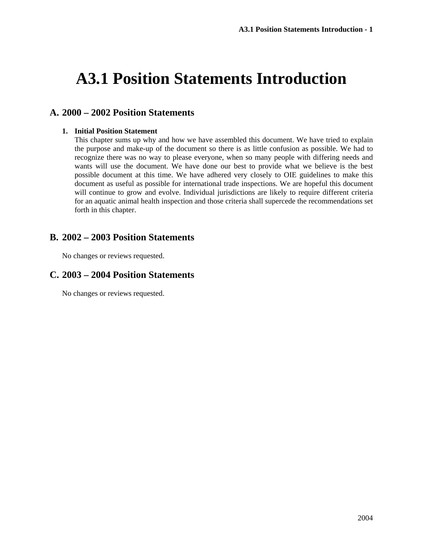# **A3.1 Position Statements Introduction**

# **A. 2000 – 2002 Position Statements**

### **1. Initial Position Statement**

This chapter sums up why and how we have assembled this document. We have tried to explain the purpose and make-up of the document so there is as little confusion as possible. We had to recognize there was no way to please everyone, when so many people with differing needs and wants will use the document. We have done our best to provide what we believe is the best possible document at this time. We have adhered very closely to OIE guidelines to make this document as useful as possible for international trade inspections. We are hopeful this document will continue to grow and evolve. Individual jurisdictions are likely to require different criteria for an aquatic animal health inspection and those criteria shall supercede the recommendations set forth in this chapter.

## **B. 2002 – 2003 Position Statements**

No changes or reviews requested.

# **C. 2003 – 2004 Position Statements**

No changes or reviews requested.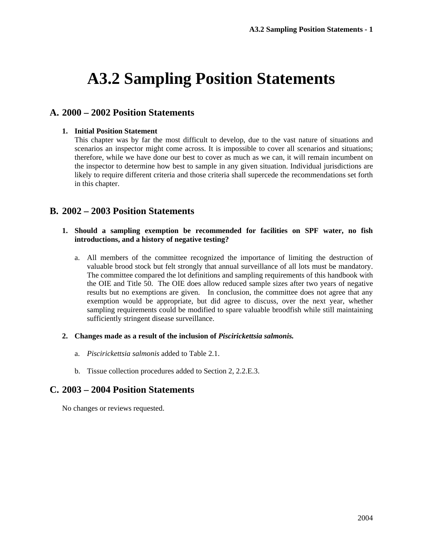# **A3.2 Sampling Position Statements**

# **A. 2000 – 2002 Position Statements**

#### **1. Initial Position Statement**

This chapter was by far the most difficult to develop, due to the vast nature of situations and scenarios an inspector might come across. It is impossible to cover all scenarios and situations; therefore, while we have done our best to cover as much as we can, it will remain incumbent on the inspector to determine how best to sample in any given situation. Individual jurisdictions are likely to require different criteria and those criteria shall supercede the recommendations set forth in this chapter.

## **B. 2002 – 2003 Position Statements**

### **1. Should a sampling exemption be recommended for facilities on SPF water, no fish introductions, and a history of negative testing?**

a. All members of the committee recognized the importance of limiting the destruction of valuable brood stock but felt strongly that annual surveillance of all lots must be mandatory. The committee compared the lot definitions and sampling requirements of this handbook with the OIE and Title 50. The OIE does allow reduced sample sizes after two years of negative results but no exemptions are given. In conclusion, the committee does not agree that any exemption would be appropriate, but did agree to discuss, over the next year, whether sampling requirements could be modified to spare valuable broodfish while still maintaining sufficiently stringent disease surveillance.

### **2. Changes made as a result of the inclusion of** *Piscirickettsia salmonis.*

- a. *Piscirickettsia salmonis* added to Table 2.1.
- b. Tissue collection procedures added to Section 2, 2.2.E.3.

## **C. 2003 – 2004 Position Statements**

No changes or reviews requested.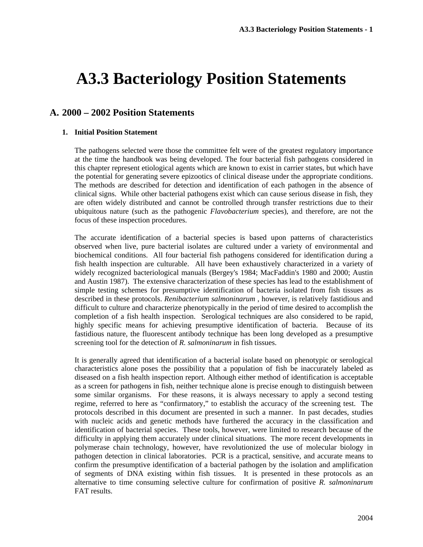# **A3.3 Bacteriology Position Statements**

# **A. 2000 – 2002 Position Statements**

#### **1. Initial Position Statement**

The pathogens selected were those the committee felt were of the greatest regulatory importance at the time the handbook was being developed. The four bacterial fish pathogens considered in this chapter represent etiological agents which are known to exist in carrier states, but which have the potential for generating severe epizootics of clinical disease under the appropriate conditions. The methods are described for detection and identification of each pathogen in the absence of clinical signs. While other bacterial pathogens exist which can cause serious disease in fish, they are often widely distributed and cannot be controlled through transfer restrictions due to their ubiquitous nature (such as the pathogenic *Flavobacterium* species), and therefore, are not the focus of these inspection procedures.

The accurate identification of a bacterial species is based upon patterns of characteristics observed when live, pure bacterial isolates are cultured under a variety of environmental and biochemical conditions. All four bacterial fish pathogens considered for identification during a fish health inspection are culturable. All have been exhaustively characterized in a variety of widely recognized bacteriological manuals (Bergey's 1984; MacFaddin's 1980 and 2000; Austin and Austin 1987). The extensive characterization of these species has lead to the establishment of simple testing schemes for presumptive identification of bacteria isolated from fish tissues as described in these protocols. *Renibacterium salmoninarum ,* however, is relatively fastidious and difficult to culture and characterize phenotypically in the period of time desired to accomplish the completion of a fish health inspection. Serological techniques are also considered to be rapid, highly specific means for achieving presumptive identification of bacteria. Because of its fastidious nature, the fluorescent antibody technique has been long developed as a presumptive screening tool for the detection of *R. salmoninarum* in fish tissues.

It is generally agreed that identification of a bacterial isolate based on phenotypic or serological characteristics alone poses the possibility that a population of fish be inaccurately labeled as diseased on a fish health inspection report. Although either method of identification is acceptable as a screen for pathogens in fish, neither technique alone is precise enough to distinguish between some similar organisms. For these reasons, it is always necessary to apply a second testing regime, referred to here as "confirmatory," to establish the accuracy of the screening test. The protocols described in this document are presented in such a manner. In past decades, studies with nucleic acids and genetic methods have furthered the accuracy in the classification and identification of bacterial species. These tools, however, were limited to research because of the difficulty in applying them accurately under clinical situations. The more recent developments in polymerase chain technology, however, have revolutionized the use of molecular biology in pathogen detection in clinical laboratories. PCR is a practical, sensitive, and accurate means to confirm the presumptive identification of a bacterial pathogen by the isolation and amplification of segments of DNA existing within fish tissues. It is presented in these protocols as an alternative to time consuming selective culture for confirmation of positive *R. salmoninarum* FAT results.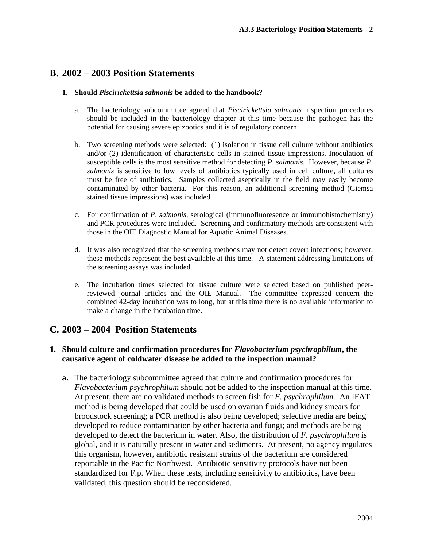# **B. 2002 – 2003 Position Statements**

## **1. Should** *Piscirickettsia salmonis* **be added to the handbook?**

- a. The bacteriology subcommittee agreed that *Piscirickettsia salmonis* inspection procedures should be included in the bacteriology chapter at this time because the pathogen has the potential for causing severe epizootics and it is of regulatory concern.
- b. Two screening methods were selected: (1) isolation in tissue cell culture without antibiotics and/or (2) identification of characteristic cells in stained tissue impressions. Inoculation of susceptible cells is the most sensitive method for detecting *P*. *salmonis*. However, because *P*. *salmonis* is sensitive to low levels of antibiotics typically used in cell culture, all cultures must be free of antibiotics. Samples collected aseptically in the field may easily become contaminated by other bacteria. For this reason, an additional screening method (Giemsa stained tissue impressions) was included.
- c. For confirmation of *P*. *salmonis*, serological (immunofluoresence or immunohistochemistry) and PCR procedures were included. Screening and confirmatory methods are consistent with those in the OIE Diagnostic Manual for Aquatic Animal Diseases.
- d. It was also recognized that the screening methods may not detect covert infections; however, these methods represent the best available at this time. A statement addressing limitations of the screening assays was included.
- e. The incubation times selected for tissue culture were selected based on published peerreviewed journal articles and the OIE Manual. The committee expressed concern the combined 42-day incubation was to long, but at this time there is no available information to make a change in the incubation time.

# **C. 2003 – 2004 Position Statements**

## **1. Should culture and confirmation procedures for** *Flavobacterium psychrophilum***, the causative agent of coldwater disease be added to the inspection manual?**

**a.** The bacteriology subcommittee agreed that culture and confirmation procedures for *Flavobacterium psychrophilum* should not be added to the inspection manual at this time. At present, there are no validated methods to screen fish for *F. psychrophilum*. An IFAT method is being developed that could be used on ovarian fluids and kidney smears for broodstock screening; a PCR method is also being developed; selective media are being developed to reduce contamination by other bacteria and fungi; and methods are being developed to detect the bacterium in water. Also, the distribution of *F. psychrophilum* is global, and it is naturally present in water and sediments. At present, no agency regulates this organism, however, antibiotic resistant strains of the bacterium are considered reportable in the Pacific Northwest. Antibiotic sensitivity protocols have not been standardized for F.p. When these tests, including sensitivity to antibiotics, have been validated, this question should be reconsidered.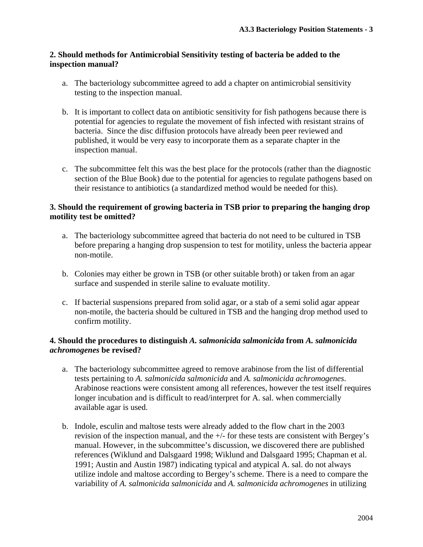## **2. Should methods for Antimicrobial Sensitivity testing of bacteria be added to the inspection manual?**

- a. The bacteriology subcommittee agreed to add a chapter on antimicrobial sensitivity testing to the inspection manual.
- b. It is important to collect data on antibiotic sensitivity for fish pathogens because there is potential for agencies to regulate the movement of fish infected with resistant strains of bacteria. Since the disc diffusion protocols have already been peer reviewed and published, it would be very easy to incorporate them as a separate chapter in the inspection manual.
- c. The subcommittee felt this was the best place for the protocols (rather than the diagnostic section of the Blue Book) due to the potential for agencies to regulate pathogens based on their resistance to antibiotics (a standardized method would be needed for this).

## **3. Should the requirement of growing bacteria in TSB prior to preparing the hanging drop motility test be omitted?**

- a. The bacteriology subcommittee agreed that bacteria do not need to be cultured in TSB before preparing a hanging drop suspension to test for motility, unless the bacteria appear non-motile.
- b. Colonies may either be grown in TSB (or other suitable broth) or taken from an agar surface and suspended in sterile saline to evaluate motility.
- c. If bacterial suspensions prepared from solid agar, or a stab of a semi solid agar appear non-motile, the bacteria should be cultured in TSB and the hanging drop method used to confirm motility.

## **4. Should the procedures to distinguish** *A. salmonicida salmonicida* **from** *A. salmonicida achromogenes* **be revised?**

- a. The bacteriology subcommittee agreed to remove arabinose from the list of differential tests pertaining to *A. salmonicida salmonicida* and *A. salmonicida achromogenes*. Arabinose reactions were consistent among all references, however the test itself requires longer incubation and is difficult to read/interpret for A. sal. when commercially available agar is used.
- b. Indole, esculin and maltose tests were already added to the flow chart in the 2003 revision of the inspection manual, and the  $+/-$  for these tests are consistent with Bergey's manual. However, in the subcommittee's discussion, we discovered there are published references (Wiklund and Dalsgaard 1998; Wiklund and Dalsgaard 1995; Chapman et al. 1991; Austin and Austin 1987) indicating typical and atypical A. sal. do not always utilize indole and maltose according to Bergey's scheme. There is a need to compare the variability of *A. salmonicida salmonicida* and *A. salmonicida achromogenes* in utilizing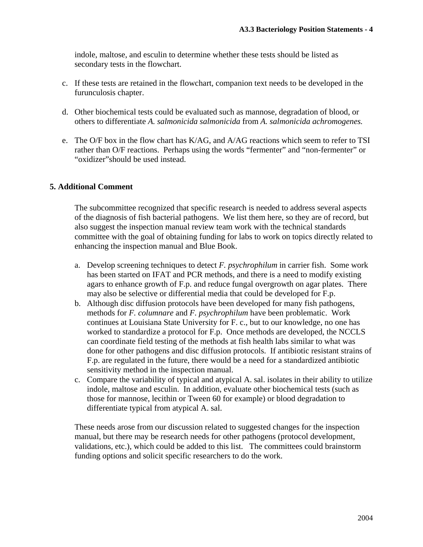indole, maltose, and esculin to determine whether these tests should be listed as secondary tests in the flowchart.

- c. If these tests are retained in the flowchart, companion text needs to be developed in the furunculosis chapter.
- d. Other biochemical tests could be evaluated such as mannose, degradation of blood, or others to differentiate *A. salmonicida salmonicida* from *A. salmonicida achromogenes.*
- e. The O/F box in the flow chart has K/AG, and A/AG reactions which seem to refer to TSI rather than O/F reactions. Perhaps using the words "fermenter" and "non-fermenter" or "oxidizer"should be used instead.

## **5. Additional Comment**

The subcommittee recognized that specific research is needed to address several aspects of the diagnosis of fish bacterial pathogens. We list them here, so they are of record, but also suggest the inspection manual review team work with the technical standards committee with the goal of obtaining funding for labs to work on topics directly related to enhancing the inspection manual and Blue Book.

- a. Develop screening techniques to detect *F. psychrophilum* in carrier fish. Some work has been started on IFAT and PCR methods, and there is a need to modify existing agars to enhance growth of F.p. and reduce fungal overgrowth on agar plates. There may also be selective or differential media that could be developed for F.p.
- b. Although disc diffusion protocols have been developed for many fish pathogens, methods for *F. columnare* and *F. psychrophilum* have been problematic. Work continues at Louisiana State University for F. c., but to our knowledge, no one has worked to standardize a protocol for F.p. Once methods are developed, the NCCLS can coordinate field testing of the methods at fish health labs similar to what was done for other pathogens and disc diffusion protocols. If antibiotic resistant strains of F.p. are regulated in the future, there would be a need for a standardized antibiotic sensitivity method in the inspection manual.
- c. Compare the variability of typical and atypical A. sal. isolates in their ability to utilize indole, maltose and esculin. In addition, evaluate other biochemical tests (such as those for mannose, lecithin or Tween 60 for example) or blood degradation to differentiate typical from atypical A. sal.

These needs arose from our discussion related to suggested changes for the inspection manual, but there may be research needs for other pathogens (protocol development, validations, etc.), which could be added to this list. The committees could brainstorm funding options and solicit specific researchers to do the work.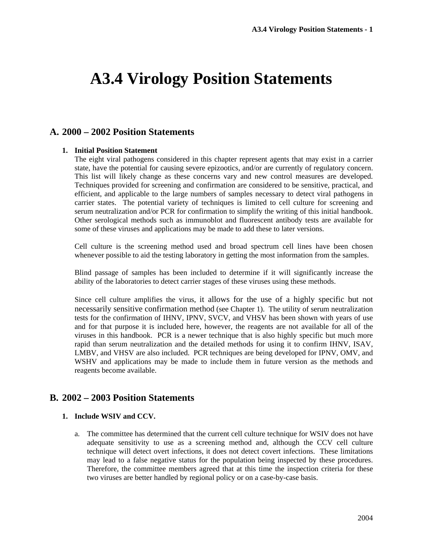# **A3.4 Virology Position Statements**

# **A. 2000 – 2002 Position Statements**

### **1. Initial Position Statement**

The eight viral pathogens considered in this chapter represent agents that may exist in a carrier state, have the potential for causing severe epizootics, and/or are currently of regulatory concern. This list will likely change as these concerns vary and new control measures are developed. Techniques provided for screening and confirmation are considered to be sensitive, practical, and efficient, and applicable to the large numbers of samples necessary to detect viral pathogens in carrier states. The potential variety of techniques is limited to cell culture for screening and serum neutralization and/or PCR for confirmation to simplify the writing of this initial handbook. Other serological methods such as immunoblot and fluorescent antibody tests are available for some of these viruses and applications may be made to add these to later versions.

Cell culture is the screening method used and broad spectrum cell lines have been chosen whenever possible to aid the testing laboratory in getting the most information from the samples.

Blind passage of samples has been included to determine if it will significantly increase the ability of the laboratories to detect carrier stages of these viruses using these methods.

Since cell culture amplifies the virus, it allows for the use of a highly specific but not necessarily sensitive confirmation method (see Chapter 1). The utility of serum neutralization tests for the confirmation of IHNV, IPNV, SVCV, and VHSV has been shown with years of use and for that purpose it is included here, however, the reagents are not available for all of the viruses in this handbook. PCR is a newer technique that is also highly specific but much more rapid than serum neutralization and the detailed methods for using it to confirm IHNV, ISAV, LMBV, and VHSV are also included. PCR techniques are being developed for IPNV, OMV, and WSHV and applications may be made to include them in future version as the methods and reagents become available.

# **B. 2002 – 2003 Position Statements**

### **1. Include WSIV and CCV.**

a. The committee has determined that the current cell culture technique for WSIV does not have adequate sensitivity to use as a screening method and, although the CCV cell culture technique will detect overt infections, it does not detect covert infections. These limitations may lead to a false negative status for the population being inspected by these procedures. Therefore, the committee members agreed that at this time the inspection criteria for these two viruses are better handled by regional policy or on a case-by-case basis.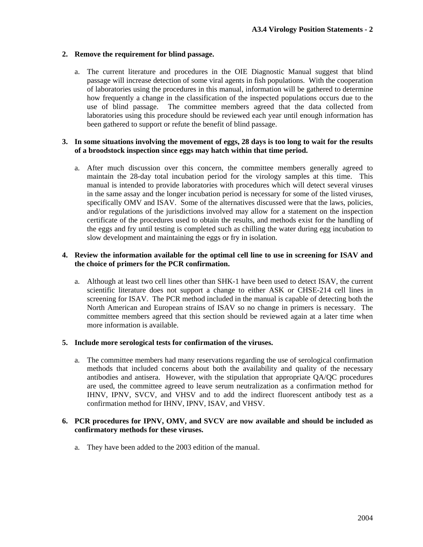### **2. Remove the requirement for blind passage.**

a. The current literature and procedures in the OIE Diagnostic Manual suggest that blind passage will increase detection of some viral agents in fish populations. With the cooperation of laboratories using the procedures in this manual, information will be gathered to determine how frequently a change in the classification of the inspected populations occurs due to the use of blind passage. The committee members agreed that the data collected from laboratories using this procedure should be reviewed each year until enough information has been gathered to support or refute the benefit of blind passage.

### **3. In some situations involving the movement of eggs, 28 days is too long to wait for the results of a broodstock inspection since eggs may hatch within that time period.**

a. After much discussion over this concern, the committee members generally agreed to maintain the 28-day total incubation period for the virology samples at this time. This manual is intended to provide laboratories with procedures which will detect several viruses in the same assay and the longer incubation period is necessary for some of the listed viruses, specifically OMV and ISAV. Some of the alternatives discussed were that the laws, policies, and/or regulations of the jurisdictions involved may allow for a statement on the inspection certificate of the procedures used to obtain the results, and methods exist for the handling of the eggs and fry until testing is completed such as chilling the water during egg incubation to slow development and maintaining the eggs or fry in isolation.

## **4. Review the information available for the optimal cell line to use in screening for ISAV and the choice of primers for the PCR confirmation.**

a. Although at least two cell lines other than SHK-1 have been used to detect ISAV, the current scientific literature does not support a change to either ASK or CHSE-214 cell lines in screening for ISAV. The PCR method included in the manual is capable of detecting both the North American and European strains of ISAV so no change in primers is necessary. The committee members agreed that this section should be reviewed again at a later time when more information is available.

### **5. Include more serological tests for confirmation of the viruses.**

a. The committee members had many reservations regarding the use of serological confirmation methods that included concerns about both the availability and quality of the necessary antibodies and antisera. However, with the stipulation that appropriate QA/QC procedures are used, the committee agreed to leave serum neutralization as a confirmation method for IHNV, IPNV, SVCV, and VHSV and to add the indirect fluorescent antibody test as a confirmation method for IHNV, IPNV, ISAV, and VHSV.

### **6. PCR procedures for IPNV, OMV, and SVCV are now available and should be included as confirmatory methods for these viruses.**

a. They have been added to the 2003 edition of the manual.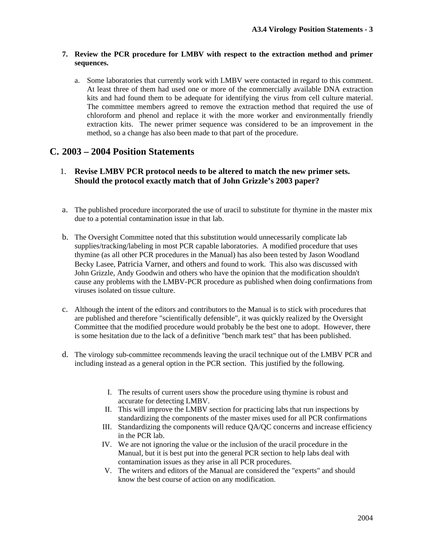## **7. Review the PCR procedure for LMBV with respect to the extraction method and primer sequences.**

a. Some laboratories that currently work with LMBV were contacted in regard to this comment. At least three of them had used one or more of the commercially available DNA extraction kits and had found them to be adequate for identifying the virus from cell culture material. The committee members agreed to remove the extraction method that required the use of chloroform and phenol and replace it with the more worker and environmentally friendly extraction kits. The newer primer sequence was considered to be an improvement in the method, so a change has also been made to that part of the procedure.

## **C. 2003 – 2004 Position Statements**

- 1. **Revise LMBV PCR protocol needs to be altered to match the new primer sets. Should the protocol exactly match that of John Grizzle's 2003 paper?**
- a. The published procedure incorporated the use of uracil to substitute for thymine in the master mix due to a potential contamination issue in that lab.
- b. The Oversight Committee noted that this substitution would unnecessarily complicate lab supplies/tracking/labeling in most PCR capable laboratories. A modified procedure that uses thymine (as all other PCR procedures in the Manual) has also been tested by Jason Woodland Becky Lasee, Patricia Varner, and others and found to work. This also was discussed with John Grizzle, Andy Goodwin and others who have the opinion that the modification shouldn't cause any problems with the LMBV-PCR procedure as published when doing confirmations from viruses isolated on tissue culture.
- c. Although the intent of the editors and contributors to the Manual is to stick with procedures that are published and therefore "scientifically defensible", it was quickly realized by the Oversight Committee that the modified procedure would probably be the best one to adopt. However, there is some hesitation due to the lack of a definitive "bench mark test" that has been published.
- d. The virology sub-committee recommends leaving the uracil technique out of the LMBV PCR and including instead as a general option in the PCR section. This justified by the following.
	- I. The results of current users show the procedure using thymine is robust and accurate for detecting LMBV.
	- II. This will improve the LMBV section for practicing labs that run inspections by standardizing the components of the master mixes used for all PCR confirmations
	- III. Standardizing the components will reduce QA/QC concerns and increase efficiency in the PCR lab.
	- IV. We are not ignoring the value or the inclusion of the uracil procedure in the Manual, but it is best put into the general PCR section to help labs deal with contamination issues as they arise in all PCR procedures.
	- V. The writers and editors of the Manual are considered the "experts" and should know the best course of action on any modification.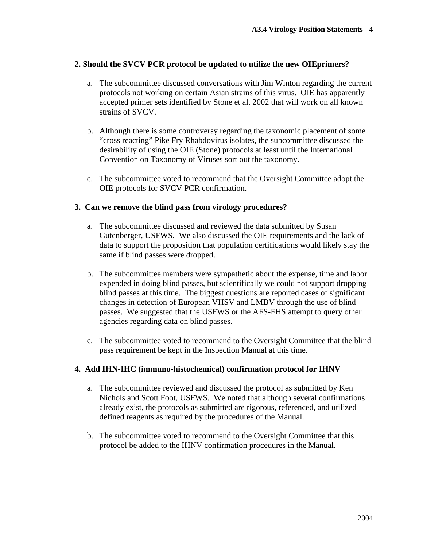## **2. Should the SVCV PCR protocol be updated to utilize the new OIEprimers?**

- a. The subcommittee discussed conversations with Jim Winton regarding the current protocols not working on certain Asian strains of this virus. OIE has apparently accepted primer sets identified by Stone et al. 2002 that will work on all known strains of SVCV.
- b. Although there is some controversy regarding the taxonomic placement of some "cross reacting" Pike Fry Rhabdovirus isolates, the subcommittee discussed the desirability of using the OIE (Stone) protocols at least until the International Convention on Taxonomy of Viruses sort out the taxonomy.
- c. The subcommittee voted to recommend that the Oversight Committee adopt the OIE protocols for SVCV PCR confirmation.

## **3. Can we remove the blind pass from virology procedures?**

- a. The subcommittee discussed and reviewed the data submitted by Susan Gutenberger, USFWS. We also discussed the OIE requirements and the lack of data to support the proposition that population certifications would likely stay the same if blind passes were dropped.
- b. The subcommittee members were sympathetic about the expense, time and labor expended in doing blind passes, but scientifically we could not support dropping blind passes at this time. The biggest questions are reported cases of significant changes in detection of European VHSV and LMBV through the use of blind passes. We suggested that the USFWS or the AFS-FHS attempt to query other agencies regarding data on blind passes.
- c. The subcommittee voted to recommend to the Oversight Committee that the blind pass requirement be kept in the Inspection Manual at this time.

### **4. Add IHN-IHC (immuno-histochemical) confirmation protocol for IHNV**

- a. The subcommittee reviewed and discussed the protocol as submitted by Ken Nichols and Scott Foot, USFWS. We noted that although several confirmations already exist, the protocols as submitted are rigorous, referenced, and utilized defined reagents as required by the procedures of the Manual.
- b. The subcommittee voted to recommend to the Oversight Committee that this protocol be added to the IHNV confirmation procedures in the Manual.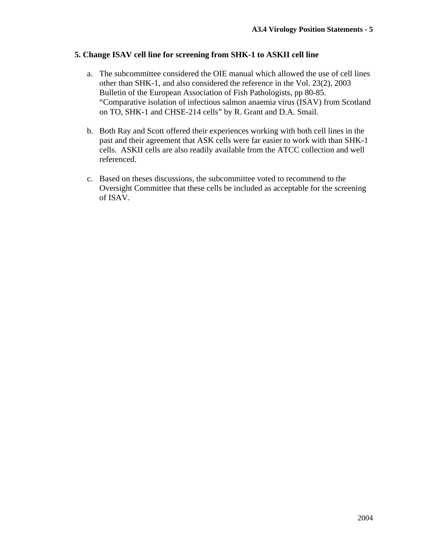## **5. Change ISAV cell line for screening from SHK-1 to ASKII cell line**

- a. The subcommittee considered the OIE manual which allowed the use of cell lines other than SHK-1, and also considered the reference in the Vol. 23(2), 2003 Bulletin of the European Association of Fish Pathologists, pp 80-85. "Comparative isolation of infectious salmon anaemia virus (ISAV) from Scotland on TO, SHK-1 and CHSE-214 cells" by R. Grant and D.A. Smail.
- b. Both Ray and Scott offered their experiences working with both cell lines in the past and their agreement that ASK cells were far easier to work with than SHK-1 cells. ASKII cells are also readily available from the ATCC collection and well referenced.
- c. Based on theses discussions, the subcommittee voted to recommend to the Oversight Committee that these cells be included as acceptable for the screening of ISAV.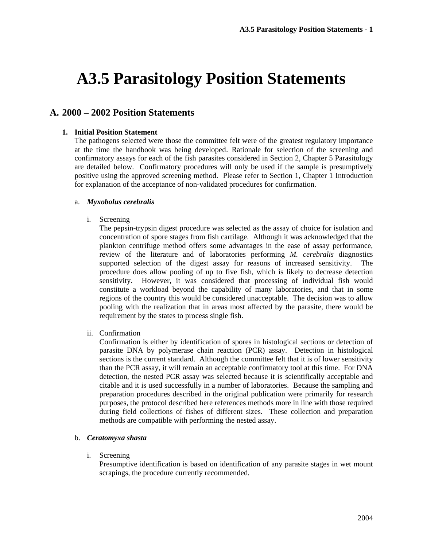# **A3.5 Parasitology Position Statements**

## **A. 2000 – 2002 Position Statements**

#### **1. Initial Position Statement**

The pathogens selected were those the committee felt were of the greatest regulatory importance at the time the handbook was being developed. Rationale for selection of the screening and confirmatory assays for each of the fish parasites considered in Section 2, Chapter 5 Parasitology are detailed below. Confirmatory procedures will only be used if the sample is presumptively positive using the approved screening method. Please refer to Section 1, Chapter 1 Introduction for explanation of the acceptance of non-validated procedures for confirmation.

#### a. *Myxobolus cerebralis*

i. Screening

The pepsin-trypsin digest procedure was selected as the assay of choice for isolation and concentration of spore stages from fish cartilage. Although it was acknowledged that the plankton centrifuge method offers some advantages in the ease of assay performance, review of the literature and of laboratories performing *M. cerebralis* diagnostics supported selection of the digest assay for reasons of increased sensitivity. The procedure does allow pooling of up to five fish, which is likely to decrease detection sensitivity. However, it was considered that processing of individual fish would constitute a workload beyond the capability of many laboratories, and that in some regions of the country this would be considered unacceptable. The decision was to allow pooling with the realization that in areas most affected by the parasite, there would be requirement by the states to process single fish.

ii. Confirmation

Confirmation is either by identification of spores in histological sections or detection of parasite DNA by polymerase chain reaction (PCR) assay. Detection in histological sections is the current standard. Although the committee felt that it is of lower sensitivity than the PCR assay, it will remain an acceptable confirmatory tool at this time. For DNA detection, the nested PCR assay was selected because it is scientifically acceptable and citable and it is used successfully in a number of laboratories. Because the sampling and preparation procedures described in the original publication were primarily for research purposes, the protocol described here references methods more in line with those required during field collections of fishes of different sizes. These collection and preparation methods are compatible with performing the nested assay.

#### b. *Ceratomyxa shasta*

#### i. Screening

Presumptive identification is based on identification of any parasite stages in wet mount scrapings, the procedure currently recommended.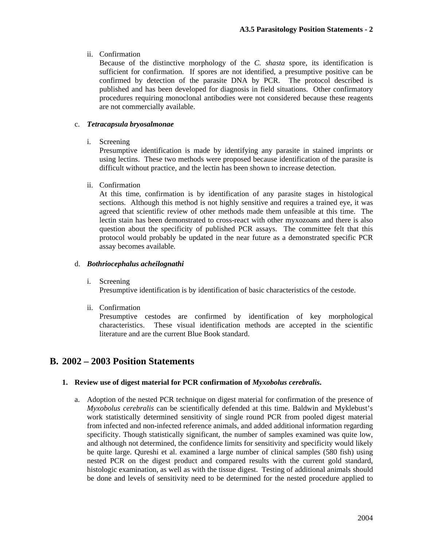## ii. Confirmation

Because of the distinctive morphology of the *C. shasta* spore, its identification is sufficient for confirmation. If spores are not identified, a presumptive positive can be confirmed by detection of the parasite DNA by PCR. The protocol described is published and has been developed for diagnosis in field situations. Other confirmatory procedures requiring monoclonal antibodies were not considered because these reagents are not commercially available.

## c. *Tetracapsula bryosalmonae*

i. Screening

Presumptive identification is made by identifying any parasite in stained imprints or using lectins. These two methods were proposed because identification of the parasite is difficult without practice, and the lectin has been shown to increase detection.

ii. Confirmation

At this time, confirmation is by identification of any parasite stages in histological sections. Although this method is not highly sensitive and requires a trained eye, it was agreed that scientific review of other methods made them unfeasible at this time. The lectin stain has been demonstrated to cross-react with other myxozoans and there is also question about the specificity of published PCR assays. The committee felt that this protocol would probably be updated in the near future as a demonstrated specific PCR assay becomes available.

## d. *Bothriocephalus acheilognathi*

i. Screening

Presumptive identification is by identification of basic characteristics of the cestode.

ii. Confirmation

Presumptive cestodes are confirmed by identification of key morphological characteristics. These visual identification methods are accepted in the scientific literature and are the current Blue Book standard.

# **B. 2002 – 2003 Position Statements**

## **1. Review use of digest material for PCR confirmation of** *Myxobolus cerebralis***.**

a. Adoption of the nested PCR technique on digest material for confirmation of the presence of *Myxobolus cerebralis* can be scientifically defended at this time. Baldwin and Myklebust's work statistically determined sensitivity of single round PCR from pooled digest material from infected and non-infected reference animals, and added additional information regarding specificity. Though statistically significant, the number of samples examined was quite low, and although not determined, the confidence limits for sensitivity and specificity would likely be quite large. Qureshi et al. examined a large number of clinical samples (580 fish) using nested PCR on the digest product and compared results with the current gold standard, histologic examination, as well as with the tissue digest. Testing of additional animals should be done and levels of sensitivity need to be determined for the nested procedure applied to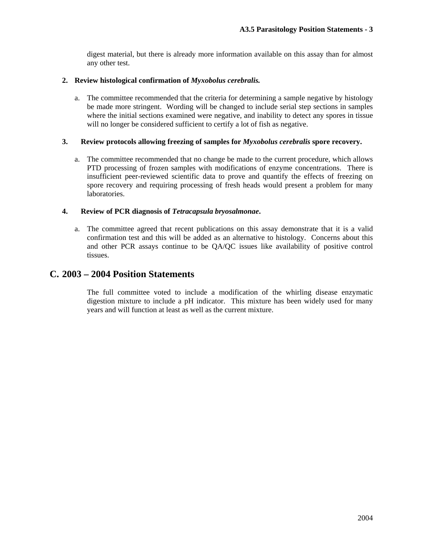digest material, but there is already more information available on this assay than for almost any other test.

### **2. Review histological confirmation of** *Myxobolus cerebralis.*

a. The committee recommended that the criteria for determining a sample negative by histology be made more stringent. Wording will be changed to include serial step sections in samples where the initial sections examined were negative, and inability to detect any spores in tissue will no longer be considered sufficient to certify a lot of fish as negative.

### **3. Review protocols allowing freezing of samples for** *Myxobolus cerebralis* **spore recovery.**

a. The committee recommended that no change be made to the current procedure, which allows PTD processing of frozen samples with modifications of enzyme concentrations. There is insufficient peer-reviewed scientific data to prove and quantify the effects of freezing on spore recovery and requiring processing of fresh heads would present a problem for many laboratories.

## **4. Review of PCR diagnosis of** *Tetracapsula bryosalmonae***.**

a. The committee agreed that recent publications on this assay demonstrate that it is a valid confirmation test and this will be added as an alternative to histology. Concerns about this and other PCR assays continue to be QA/QC issues like availability of positive control tissues.

# **C. 2003 – 2004 Position Statements**

The full committee voted to include a modification of the whirling disease enzymatic digestion mixture to include a pH indicator. This mixture has been widely used for many years and will function at least as well as the current mixture.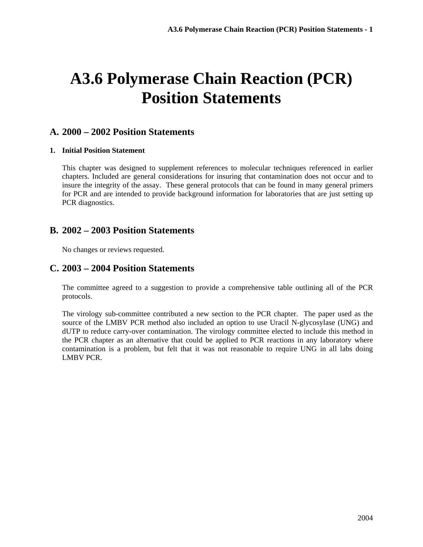# **A3.6 Polymerase Chain Reaction (PCR) Position Statements**

# **A. 2000 – 2002 Position Statements**

### **1. Initial Position Statement**

This chapter was designed to supplement references to molecular techniques referenced in earlier chapters. Included are general considerations for insuring that contamination does not occur and to insure the integrity of the assay. These general protocols that can be found in many general primers for PCR and are intended to provide background information for laboratories that are just setting up PCR diagnostics.

## **B. 2002 – 2003 Position Statements**

No changes or reviews requested.

## **C. 2003 – 2004 Position Statements**

The committee agreed to a suggestion to provide a comprehensive table outlining all of the PCR protocols.

The virology sub-committee contributed a new section to the PCR chapter. The paper used as the source of the LMBV PCR method also included an option to use Uracil N-glycosylase (UNG) and dUTP to reduce carry-over contamination. The virology committee elected to include this method in the PCR chapter as an alternative that could be applied to PCR reactions in any laboratory where contamination is a problem, but felt that it was not reasonable to require UNG in all labs doing LMBV PCR.